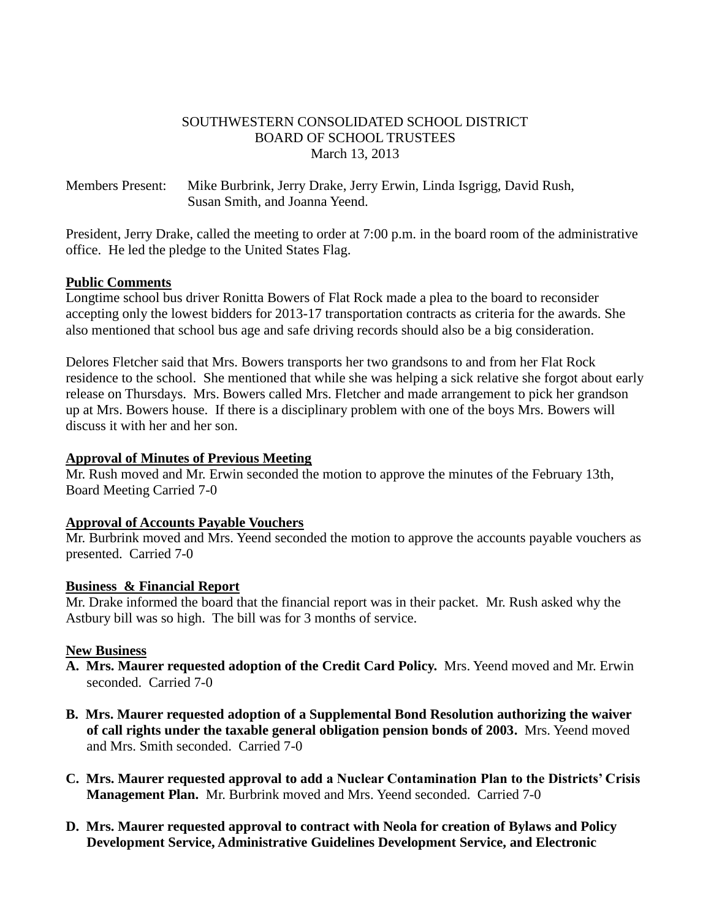#### SOUTHWESTERN CONSOLIDATED SCHOOL DISTRICT BOARD OF SCHOOL TRUSTEES March 13, 2013

Members Present: Mike Burbrink, Jerry Drake, Jerry Erwin, Linda Isgrigg, David Rush, Susan Smith, and Joanna Yeend.

President, Jerry Drake, called the meeting to order at 7:00 p.m. in the board room of the administrative office. He led the pledge to the United States Flag.

#### **Public Comments**

Longtime school bus driver Ronitta Bowers of Flat Rock made a plea to the board to reconsider accepting only the lowest bidders for 2013-17 transportation contracts as criteria for the awards. She also mentioned that school bus age and safe driving records should also be a big consideration.

Delores Fletcher said that Mrs. Bowers transports her two grandsons to and from her Flat Rock residence to the school. She mentioned that while she was helping a sick relative she forgot about early release on Thursdays. Mrs. Bowers called Mrs. Fletcher and made arrangement to pick her grandson up at Mrs. Bowers house. If there is a disciplinary problem with one of the boys Mrs. Bowers will discuss it with her and her son.

#### **Approval of Minutes of Previous Meeting**

Mr. Rush moved and Mr. Erwin seconded the motion to approve the minutes of the February 13th, Board Meeting Carried 7-0

#### **Approval of Accounts Payable Vouchers**

Mr. Burbrink moved and Mrs. Yeend seconded the motion to approve the accounts payable vouchers as presented. Carried 7-0

#### **Business & Financial Report**

Mr. Drake informed the board that the financial report was in their packet. Mr. Rush asked why the Astbury bill was so high. The bill was for 3 months of service.

## **New Business**

- **A. Mrs. Maurer requested adoption of the Credit Card Policy.** Mrs. Yeend moved and Mr. Erwin seconded. Carried 7-0
- **B. Mrs. Maurer requested adoption of a Supplemental Bond Resolution authorizing the waiver of call rights under the taxable general obligation pension bonds of 2003.** Mrs. Yeend moved and Mrs. Smith seconded. Carried 7-0
- **C. Mrs. Maurer requested approval to add a Nuclear Contamination Plan to the Districts' Crisis Management Plan.** Mr. Burbrink moved and Mrs. Yeend seconded. Carried 7-0
- **D. Mrs. Maurer requested approval to contract with Neola for creation of Bylaws and Policy Development Service, Administrative Guidelines Development Service, and Electronic**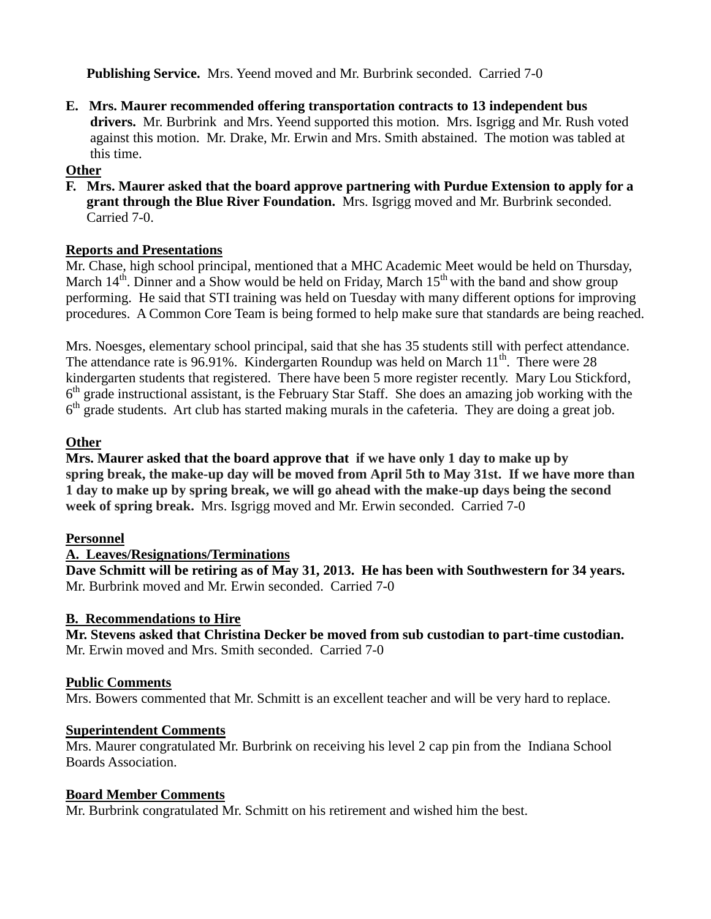**Publishing Service.** Mrs. Yeend moved and Mr. Burbrink seconded. Carried 7-0

**E. Mrs. Maurer recommended offering transportation contracts to 13 independent bus drivers.** Mr. Burbrink and Mrs. Yeend supported this motion. Mrs. Isgrigg and Mr. Rush voted against this motion. Mr. Drake, Mr. Erwin and Mrs. Smith abstained. The motion was tabled at this time.

# **Other**

**F. Mrs. Maurer asked that the board approve partnering with Purdue Extension to apply for a grant through the Blue River Foundation.** Mrs. Isgrigg moved and Mr. Burbrink seconded. Carried 7-0.

## **Reports and Presentations**

Mr. Chase, high school principal, mentioned that a MHC Academic Meet would be held on Thursday, March  $14<sup>th</sup>$ . Dinner and a Show would be held on Friday, March  $15<sup>th</sup>$  with the band and show group performing. He said that STI training was held on Tuesday with many different options for improving procedures. A Common Core Team is being formed to help make sure that standards are being reached.

Mrs. Noesges, elementary school principal, said that she has 35 students still with perfect attendance. The attendance rate is 96.91%. Kindergarten Roundup was held on March  $11<sup>th</sup>$ . There were 28 kindergarten students that registered. There have been 5 more register recently. Mary Lou Stickford, 6<sup>th</sup> grade instructional assistant, is the February Star Staff. She does an amazing job working with the 6<sup>th</sup> grade students. Art club has started making murals in the cafeteria. They are doing a great job.

## **Other**

**Mrs. Maurer asked that the board approve that if we have only 1 day to make up by spring break, the make-up day will be moved from April 5th to May 31st. If we have more than 1 day to make up by spring break, we will go ahead with the make-up days being the second week of spring break.** Mrs. Isgrigg moved and Mr. Erwin seconded. Carried 7-0

## **Personnel**

## **A. Leaves/Resignations/Terminations**

**Dave Schmitt will be retiring as of May 31, 2013. He has been with Southwestern for 34 years.**  Mr. Burbrink moved and Mr. Erwin seconded. Carried 7-0

## **B. Recommendations to Hire**

**Mr. Stevens asked that Christina Decker be moved from sub custodian to part-time custodian.** Mr. Erwin moved and Mrs. Smith seconded. Carried 7-0

## **Public Comments**

Mrs. Bowers commented that Mr. Schmitt is an excellent teacher and will be very hard to replace.

## **Superintendent Comments**

Mrs. Maurer congratulated Mr. Burbrink on receiving his level 2 cap pin from the Indiana School Boards Association.

## **Board Member Comments**

Mr. Burbrink congratulated Mr. Schmitt on his retirement and wished him the best.